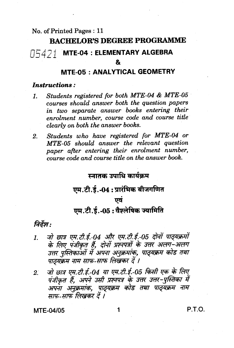### No. of Printed Pages: 11

### **BACHELOR'S DEGREE PROGRAMME**

#### MTE-04 : ELEMENTARY ALGEBRA N5421 |

&

### **MTE-05: ANALYTICAL GEOMETRY**

### *Instructions:*

- Students registered for both MTE-04 & MTE-05  $\mathbf{1}$ courses should answer both the question papers in two separate answer books entering their enrolment number, course code and course title clearly on both the answer books.
- Students who have registered for MTE-04 or  $2.$ MTE-05 should answer the relevant question paper after entering their enrolment number, course code and course title on the answer book.

### स्नातक उपाधि कार्यकम

## एम.टी.ई.-04: प्रारंभिक बीजगणित

#### एवं

## एम.टी.ई.-05:वैश्लेषिक ज्यामिति

### निर्देश:

- जो छात्र एम.टी.ई.-04 और एम.टी.ई.-05 दोनों पाठ्यक्रमों<br>के लिए पंजीकृत हैं, दोनों प्रश्नपत्रों के उत्तर अलग-अलग  $\mathbf{1}$ उत्तर पुस्तिकाओं में अपना अनुक्रमांक, पाठ्यक्रम कोड तथा पाठ्यक्रम नाम साफ-साफ लिखकर दें ।
- जो छात्र एम.टी.ई.-04 या एम.टी.ई.-05 किसी एक के लिए  $2^{\degree}$ पंजीकृत हैं, अपने उसी प्रश्नपत्र के उत्तर उत्तर-पुस्तिका में अपना अनुक्रमांक, पाठ्यक्रम कोड तथा पाठ्यक्रम नाम<br>साफ-साफ लिखकर दें।

**MTE-04/05**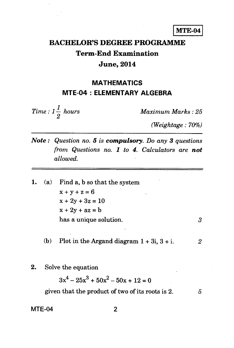**MTE-04** 

## **BACHELOR'S DEGREE PROGRAMME Term-End Examination June, 2014**

### **MATHEMATICS MTE-04 : ELEMENTARY ALGEBRA**

 $Time: 1\frac{1}{2}$  hours *2* 

*Maximum Marks : 25* 

*(Weightage : 70%)* 

- *Note : Question no.* **5** *is compulsory. Do any 3 questions from Questions no. 1 to* **4.** *Calculators are not allowed.*
- 1. (a) Find a, b so that the system  $x + y + z = 6$  $x + 2y + 3z = 10$  $x + 2y + az = b$ has a unique solution. 3
	- (b) Plot in the Argand diagram  $1 + 3i$ ,  $3 + i$ .  $2i$
- 2. Solve the equation

 $3x^4 - 25x^3 + 50x^2 - 50x + 12 = 0$ given that the product of two of its roots is  $2.$   $5$ 

#### $MTE-04$  2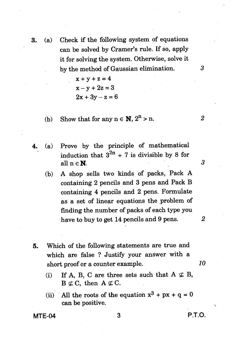3. (a) Check if the following system of equations can be solved by Cramer's rule. If so, apply it for solving the system. Otherwise, solve it by the method of Gaussian elimination. 3

> $x + y + z = 4$  $x - y + 2z = 3$  $2x + 3y - z = 6$

- (b) Show that for any  $n \in \mathbb{N}$ ,  $2^n > n$ . 2
- 4. (a) Prove by the principle of mathematical induction that  $3^{2n}$  + 7 is divisible by 8 for all  $n \in \mathbb{N}$ .  $3$ 
	- (b) A shop sells two kinds of packs, Pack A containing 2 pencils and 3 pens and Pack B containing 4 pencils and 2 pens. Formulate as a set of linear equations the problem of finding the number of packs of each type you have to buy to get 14 pencils and 9 pens. *2*
- 5. Which of the following statements are true and which are false ? Justify your answer with a short proof or a counter example. *10* 
	- (i) If A, B, C are three sets such that  $A \nsubseteq B$ ,  $B \nsubseteq C$ , then  $A \nsubseteq C$ .
	- (ii) All the roots of the equation  $x^3 + px + q = 0$ can be positive.

**MTE-04** 3 **P.T.O.**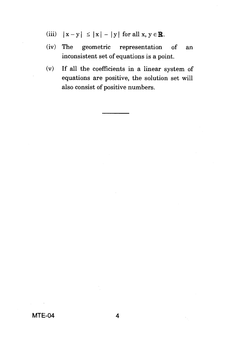- (iii)  $|x-y| \le |x| |y|$  for all  $x, y \in \mathbb{R}$ .
- (iv) The geometric representation of an inconsistent set of equations is a point.
- (v) If all the coefficients in a linear system of equations are positive, the solution set will also consist of positive numbers.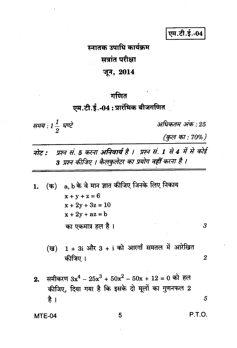एम.टी.ई.-04

स्नातक उपाधि कार्यक्रम सत्रांत परीक्षा जून, 2014

## गणित

## एम.टी.ई.-04 : प्रारंभिक बीजगणित

समय : 1 $\frac{1}{2}$  घण्टे

अधिकतम अंक : 25

(कुल का : 70%)

- प्रश्न सं. 5 करना अनिवार्य है । प्रश्न सं. 1 से 4 में से कोई नोट : 3 प्रश्न कीजिए । कैलकुलेटर का प्रयोग नहीं करना है ।
- a, b के वे मान ज्ञात कीजिए जिनके लिए निकाय (क) 1.  $x + y + z = 6$  $x + 2y + 3z = 10$  $x + 2y + az = b$ का एकमात्र हल है।
	- $1 + 3i$  और  $3 + i$  को आरगाँ समतल में आरेखित  $(\overline{g})$ कीजिए ।
- समीकरण  $3x^4 25x^3 + 50x^2 50x + 12 = 0$  को हल  $2.$ कीजिए, दिया गया है कि इसके दो मूलों का गुणनफल 2 है ।

#### **MTE-04**

3

 $\overline{2}$ 

5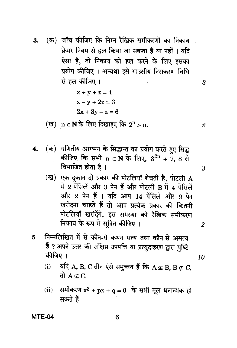(क) जाँच कीजिए कि निम्न रैखिक समीकरणों का निकाय 3. क्रेमर नियम से हल किया जा सकता है या नहीं । यदि ऐसा है. तो निकाय को हल करने के लिए इसका प्रयोग कीजिए । अन्यथा इसे गाउसीय निराकरण विधि से हल कीजिए।

$$
x + y + z = 4
$$
  

$$
x - y + 2z = 3
$$
  

$$
2x + 3y - z = 6
$$

(ख)  $n \in \mathbf{N}$ के लिए दिखाइए कि  $2^{n} > n$ .

- (क) गणितीय आगमन के सिद्धान्त का प्रयोग करते हुए सिद्ध  $\boldsymbol{4}$ . कीजिए कि सभी n  $\in \mathbf{N}$  के लिए,  $3^{2n}$  + 7, 8 से विभाजित होता है ।
	- (ख) एक दुकान दो प्रकार की पोटलियाँ बेचती है, पोटली  ${\bf A}$ में 2 पेंसिलें और 3 पेन हैं और पोटली B में 4 पेंसिलें और 2 पेन हैं । यदि आप 14 पेंसिलें और 9 पेन खरीदना चाहते हैं तो आप प्रत्येक प्रकार की कितनी पोटलियाँ खरीदेंगे, इस समस्या को रैखिक समीकरण निकाय के रूप में सूत्रित कीजिए।
- निम्नलिखित में से कौन-से कथन सत्य तथा कौन-से असत्य 5 हैं ? अपने उत्तर की संक्षिप्त उपपत्ति या प्रत्युदाहरण द्वारा पृष्टि कीजिए ।
	- यदि A, B, C तीन ऐसे समुच्चय हैं कि A  $\notin$  B, B  $\not\in$  C.  $(i)$ तो A $\subset$  C.
	- समीकरण  $x^3 + px + q = 0$  के सभी मूल धनात्मक हो  $(ii)$ सकते हैं।

MTE-04

6

 $\boldsymbol{2}$ 

3

 $\overline{2}$ 

10

3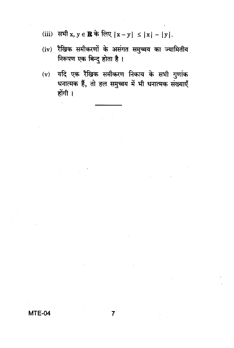- (iii) सभी  $x, y \in \mathbb{R}$  के लिए  $|x-y| \leq |x| |y|$ .
- (iv) रैखिक समीकरणों के असंगत समुच्चय का ज्यामितीय निरूपण एक बिन्दु होता है।
- यदि एक रैखिक समीकरण निकाय के सभी गुणांक  $(v)$ धनात्मक हैं, तो हल समुच्चय में भी धनात्मक संख्याएँ होंगी ।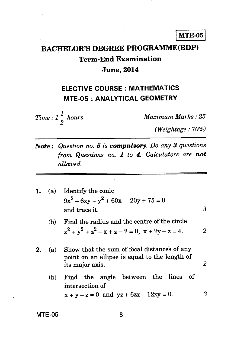## **BACHELOR'S DEGREE PROGRAMME(BDP) Term-End Examination June, 2014**

## **ELECTIVE COURSE : MATHEMATICS MTE-05 : ANALYTICAL GEOMETRY**

 $Time: 1\frac{1}{2} \; hours$ 

*Maximum Marks : 25* 

*(Weightage : 70%)* 

*Note : Question no.* **5** *is compulsory. Do any 3 questions from Questions no. 1 to 4. Calculators are not allowed.* 

|     | $9x^{2} - 6xy + y^{2} + 60x - 20y + 75 = 0$<br>and trace it.                                                    | 3                      |
|-----|-----------------------------------------------------------------------------------------------------------------|------------------------|
| (b) | Find the radius and the centre of the circle<br>$x^{2} + y^{2} + z^{2} - x + z - 2 = 0$ , $x + 2y - z = 4$ .    | 2                      |
| (a) | Show that the sum of focal distances of any<br>point on an ellipse is equal to the length of<br>its major axis. | 2                      |
| (b) | Find the angle between the lines<br>- of<br>intersection of<br>$x + y - z = 0$ and $yz + 6zx - 12xy = 0$ .      | 3                      |
|     |                                                                                                                 | (a) Identify the conic |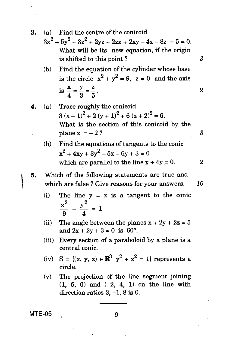- 3. (a) Find the centre of the conicoid
	- $3x^{2} + 5y^{2} + 3z^{2} + 2yz + 2zx + 2xy 4x 8z + 5 = 0.$ What will be its new equation, if the origin is shifted to this point ?  $3<sup>3</sup>$
	- (b) Find the equation of the cylinder whose base is the circle  $x^2 + y^2 = 9$ ,  $z = 0$  and the axis by  $x + 3z + 2yz + 2zx + 2xy - 4x - 8z + 5 = 0$ .<br>
	What will be its new equation, if the origin<br>
	is shifted to this point?<br>
	Find the equation of the cylinder whose base<br>
	is the circle  $x^2 + y^2 = 9$ ,  $z = 0$  and the axis<br>
	is  $\frac{x}{4} = \frac{$ is  $\frac{x}{4} = \frac{y}{3} = \frac{z}{5}$ .
- 4. (a) Trace roughly the conicoid  $3 (x-1)^{2} + 2 (y+1)^{2} + 6 (z+2)^{2} = 6.$ What is the section of this conicoid by the plane  $z = -2$  ?  $3$ 
	- (b) Find the equations of tangents to the conic  $x^{2}$  + 4xy + 3y<sup>2</sup> – 5x – 6y + 3 = 0 which are parallel to the line  $x + 4y = 0$ . 2
- 5. Which of the following statements are true and which are false ? Give reasons for your answers. *10* 
	- (i) The line  $y = x$  is a tangent to the conic  $x^2$   $y^2$   $-$ 9 4
	- (ii) The angle between the planes  $x + 2y + 2z = 5$ and  $2x + 2y + 3 = 0$  is 60°.
	- (iii) Every section of a paraboloid by a plane is a central conic.
	- (iv)  $S = \{(x, y, z) \in \mathbb{R}^3 | y^2 + z^2 = 1 \}$  represents a circle.
	- (v) The projection of the line segment joining (1, 5, 0) and (-2, 4, **1)** on the line with direction ratios 3, —1, 8 is 0.

**MTE-05** 9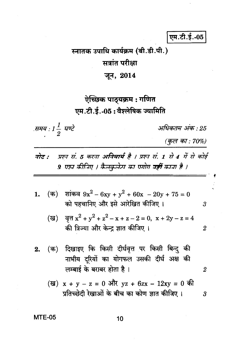एम.टी.ई.-05

# स्नातक उपाधि कार्यक्रम (बी.डी.पी.) सत्रांत परीक्षा जून, 2014

ऐच्छिक पाठ्यक्रम : गणित एम.टी.ई.-05:वैश्लेषिक ज्यामिति

.समय : 1  $\frac{1}{2}$  घण्टे

अधिकतम् अंक : 25

(कुल का: 70%)

3

 $\overline{2}$ 

 $\overline{2}$ 

3

- प्रश्न सं. 5 करना अनिवार्य है । प्रश्न सं. 1 से 4 में से कोई नोट : 9 एप्र्न कीजिए । कैलकुलेटर का एगोग **नहीं** काना है ।
- (क) शांकव  $9x^2 6xy + y^2 + 60x 20y + 75 = 0$ 1. को पहचानिए और इसे आरेखित कीजिए।
	- वृत्त  $x^2 + y^2 + z^2 x + z 2 = 0$ ,  $x + 2y z = 4$ (ख) की त्रिज्या और केन्द ज्ञात कीजिए ।
- दिखाइए कि किसी दीर्घवृत्त पर किसी बिन्दु की (क)  $2.$ नाभीय दुरियों का योगफल उसकी दीर्घ अक्ष की लम्बाई के बराबर होता है।
	- (ख)  $x + y z = 0$  और  $yz + 6zx 12xy = 0$  की प्रतिच्छेदी रेखाओं के बीच का कोण ज्ञात कीजिए।

### **MTE-05**